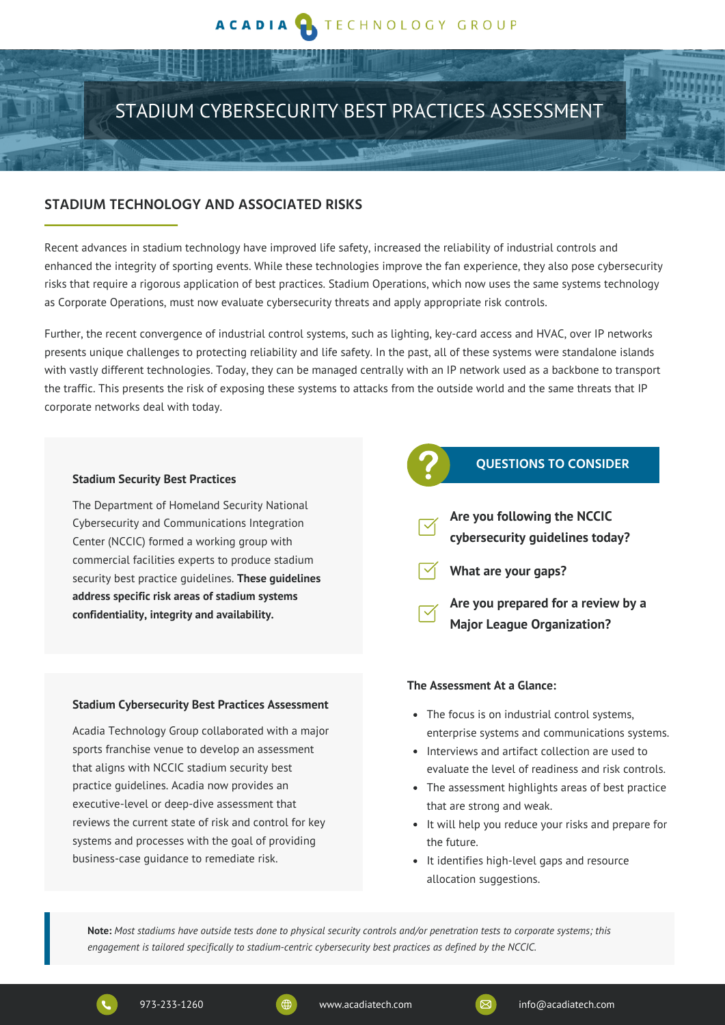# TECHNOLOGY GROUP

# STADIUM CYBERSECURITY BEST PRACTICES ASSESSMENT

### **STADIUM TECHNOLOGY AND ASSOCIATED RISKS**

Recent advances in stadium technology have improved life safety, increased the reliability of industrial controls and enhanced the integrity of sporting events. While these technologies improve the fan experience, they also pose cybersecurity risks that require a rigorous application of best practices. Stadium Operations, which now uses the same systems technology as Corporate Operations, must now evaluate cybersecurity threats and apply appropriate risk controls.

Further, the recent convergence of industrial control systems, such as lighting, key-card access and HVAC, over IP networks presents unique challenges to protecting reliability and life safety. In the past, all of these systems were standalone islands with vastly different technologies. Today, they can be managed centrally with an IP network used as a backbone to transport the traffic. This presents the risk of exposing these systems to attacks from the outside world and the same threats that IP corporate networks deal with today.

#### **Stadium Security Best Practices**

The Department of Homeland Security National Cybersecurity and Communications Integration Center (NCCIC) formed a working group with commercial facilities experts to produce stadium security best practice guidelines. **These guidelines address specific risk areas of stadium systems confidentiality, integrity and availability.**

#### **Stadium Cybersecurity Best Practices Assessment**

Acadia Technology Group collaborated with a major sports franchise venue to develop an assessment that aligns with NCCIC stadium security best practice guidelines. Acadia now provides an executive-level or deep-dive assessment that reviews the current state of risk and control for key systems and processes with the goal of providing business-case guidance to remediate risk.

# **QUESTIONS TO CONSIDER**

- **Are you following the NCCIC cybersecurity guidelines today?**
- **What are your gaps?**

**Are you prepared for a review by a Major League Organization?**

#### **The Assessment At a Glance:**

- The focus is on industrial control systems, enterprise systems and communications systems.
- Interviews and artifact collection are used to evaluate the level of readiness and risk controls.
- The assessment highlights areas of best practice that are strong and weak.
- It will help you reduce your risks and prepare for the future.
- It identifies high-level gaps and resource allocation suggestions.

Note: Most stadiums have outside tests done to physical security controls and/or penetration tests to corporate systems; this *engagement is tailored specifically to stadium-centric cybersecurity best practices as defined by the NCCIC.*